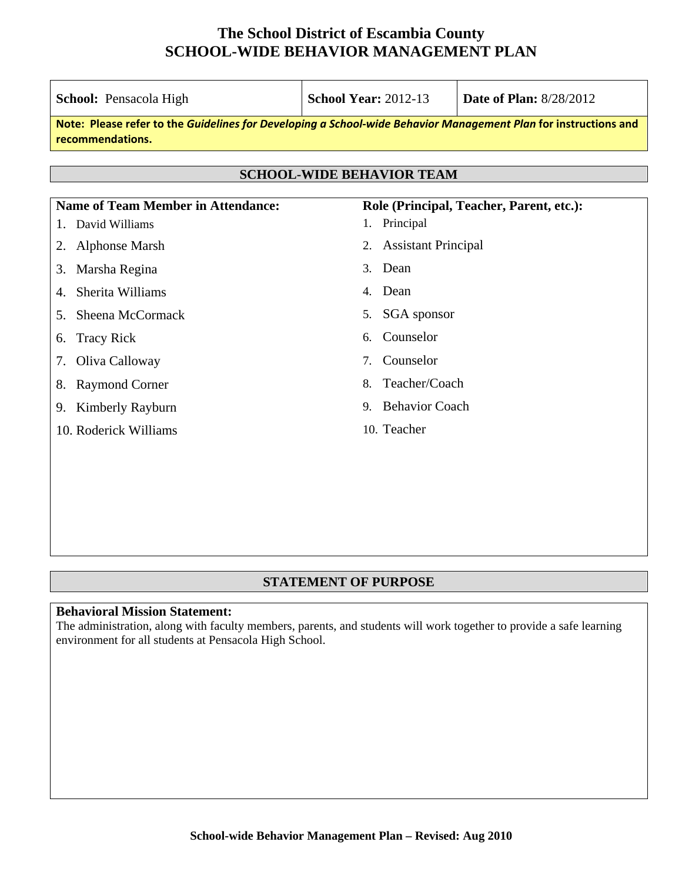| School: Pensacola High                                            | <b>School Year: 2012-13</b><br><b>Date of Plan: 8/28/2012</b>                                                   |                                          |  |
|-------------------------------------------------------------------|-----------------------------------------------------------------------------------------------------------------|------------------------------------------|--|
| recommendations.                                                  | Note: Please refer to the Guidelines for Developing a School-wide Behavior Management Plan for instructions and |                                          |  |
|                                                                   | <b>SCHOOL-WIDE BEHAVIOR TEAM</b>                                                                                |                                          |  |
|                                                                   |                                                                                                                 |                                          |  |
| <b>Name of Team Member in Attendance:</b><br>David Williams<br>1. | Principal<br>1.                                                                                                 | Role (Principal, Teacher, Parent, etc.): |  |
| <b>Alphonse Marsh</b><br>2.                                       | <b>Assistant Principal</b><br>2.                                                                                |                                          |  |
| Marsha Regina<br>3.                                               | Dean<br>3 <sub>1</sub>                                                                                          |                                          |  |
| Sherita Williams<br>4.                                            | Dean<br>4.                                                                                                      |                                          |  |
| Sheena McCormack<br>5.                                            | <b>SGA</b> sponsor<br>5.                                                                                        |                                          |  |
| <b>Tracy Rick</b><br>6.                                           | Counselor<br>6.                                                                                                 |                                          |  |
| Oliva Calloway<br>7.                                              | Counselor<br>7.                                                                                                 |                                          |  |
| <b>Raymond Corner</b><br>8.                                       | 8.                                                                                                              | Teacher/Coach                            |  |
| Kimberly Rayburn<br>9.                                            | <b>Behavior Coach</b><br>9.                                                                                     |                                          |  |
| 10. Roderick Williams                                             | 10. Teacher                                                                                                     |                                          |  |
|                                                                   |                                                                                                                 |                                          |  |
|                                                                   |                                                                                                                 |                                          |  |

#### **STATEMENT OF PURPOSE**

#### **Behavioral Mission Statement:**

The administration, along with faculty members, parents, and students will work together to provide a safe learning environment for all students at Pensacola High School.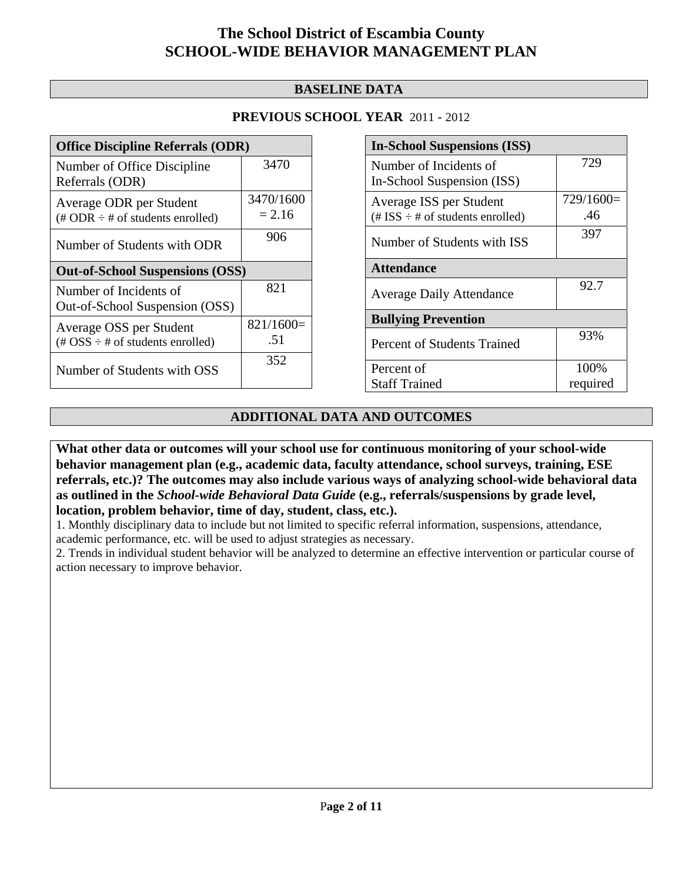#### **BASELINE DATA**

#### **PREVIOUS SCHOOL YEAR** 2011 - 2012

| <b>Office Discipline Referrals (ODR)</b>                                                        |                       |  |
|-------------------------------------------------------------------------------------------------|-----------------------|--|
| Number of Office Discipline<br>Referrals (ODR)                                                  | 3470                  |  |
| Average ODR per Student<br>$(\# ODR \div \# \text{ of students enrolled})$                      | 3470/1600<br>$= 2.16$ |  |
| Number of Students with ODR                                                                     | 906                   |  |
| <b>Out-of-School Suspensions (OSS)</b>                                                          |                       |  |
|                                                                                                 |                       |  |
| Number of Incidents of<br>Out-of-School Suspension (OSS)                                        | 821                   |  |
| Average OSS per Student<br>$(\text{\#} \text{OSS} \div \text{\#} \text{ of students enrolled})$ | $821/1600=$<br>.51    |  |

| <b>In-School Suspensions (ISS)</b>      |             |  |  |
|-----------------------------------------|-------------|--|--|
| Number of Incidents of                  | 729         |  |  |
| In-School Suspension (ISS)              |             |  |  |
| Average ISS per Student                 | $729/1600=$ |  |  |
| $(\# ISS \div \# of students enrolled)$ | .46         |  |  |
| Number of Students with ISS             | 397         |  |  |
|                                         |             |  |  |
| <b>Attendance</b>                       |             |  |  |
| <b>Average Daily Attendance</b>         | 92.7        |  |  |
|                                         |             |  |  |
| <b>Bullying Prevention</b>              |             |  |  |
| Percent of Students Trained             | 93%         |  |  |
|                                         |             |  |  |
| Percent of                              | 100%        |  |  |
| <b>Staff Trained</b>                    | required    |  |  |

#### **ADDITIONAL DATA AND OUTCOMES**

**What other data or outcomes will your school use for continuous monitoring of your school-wide behavior management plan (e.g., academic data, faculty attendance, school surveys, training, ESE referrals, etc.)? The outcomes may also include various ways of analyzing school-wide behavioral data as outlined in the** *School-wide Behavioral Data Guide* **(e.g., referrals/suspensions by grade level, location, problem behavior, time of day, student, class, etc.).**

1. Monthly disciplinary data to include but not limited to specific referral information, suspensions, attendance, academic performance, etc. will be used to adjust strategies as necessary.

2. Trends in individual student behavior will be analyzed to determine an effective intervention or particular course of action necessary to improve behavior.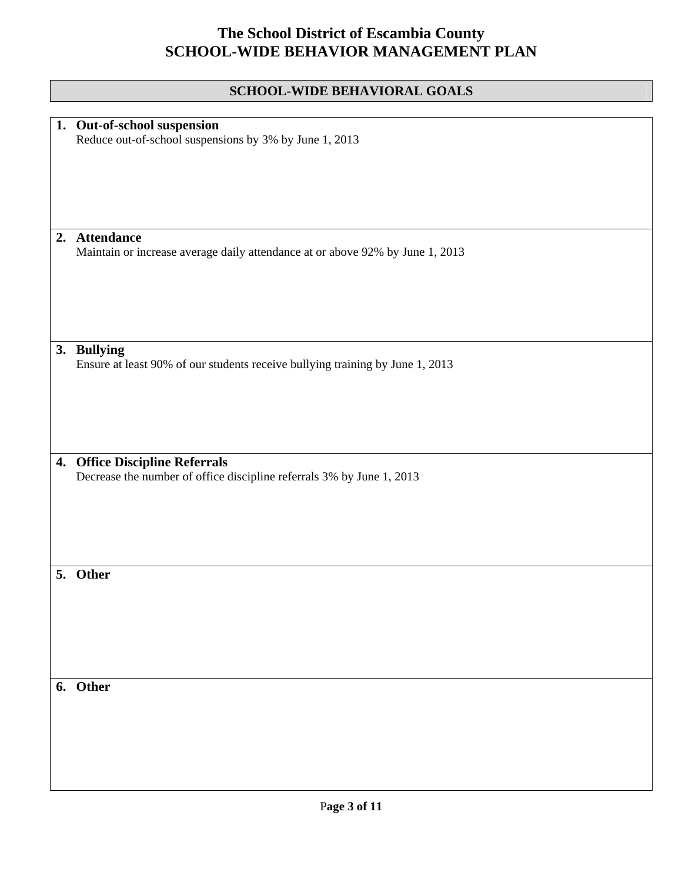|    | SCHOOL-WIDE BEHAVIORAL GOALS                                                                                |
|----|-------------------------------------------------------------------------------------------------------------|
|    |                                                                                                             |
|    | 1. Out-of-school suspension<br>Reduce out-of-school suspensions by 3% by June 1, 2013                       |
|    | 2. Attendance<br>Maintain or increase average daily attendance at or above 92% by June 1, 2013              |
|    | 3. Bullying<br>Ensure at least 90% of our students receive bullying training by June 1, 2013                |
| 4. | <b>Office Discipline Referrals</b><br>Decrease the number of office discipline referrals 3% by June 1, 2013 |
| 5. | Other                                                                                                       |
|    | 6. Other                                                                                                    |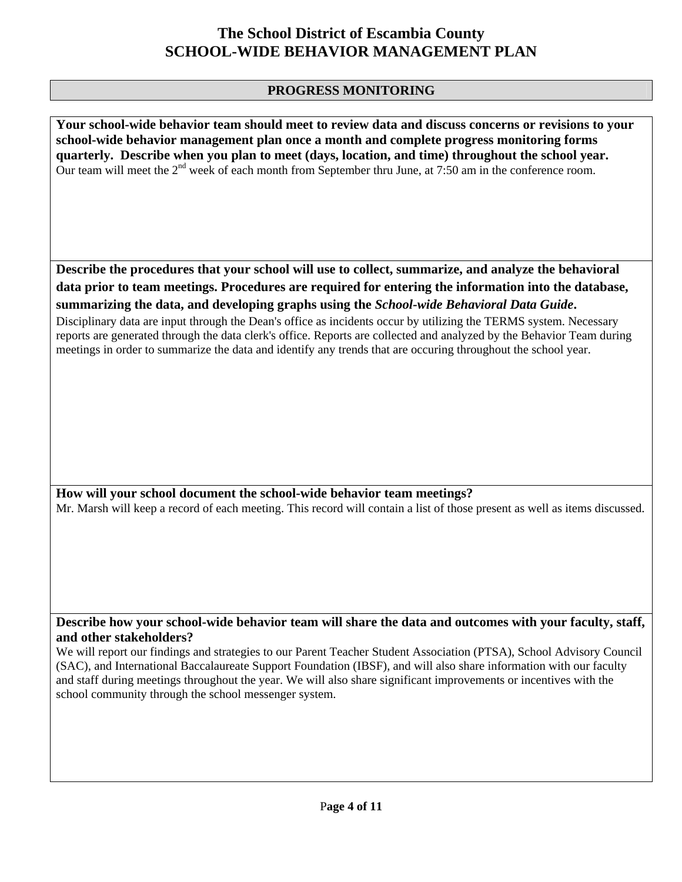#### **PROGRESS MONITORING**

**Your school-wide behavior team should meet to review data and discuss concerns or revisions to your school-wide behavior management plan once a month and complete progress monitoring forms quarterly. Describe when you plan to meet (days, location, and time) throughout the school year.**  Our team will meet the  $2<sup>nd</sup>$  week of each month from September thru June, at 7:50 am in the conference room.

**Describe the procedures that your school will use to collect, summarize, and analyze the behavioral data prior to team meetings. Procedures are required for entering the information into the database, summarizing the data, and developing graphs using the** *School-wide Behavioral Data Guide***.** 

Disciplinary data are input through the Dean's office as incidents occur by utilizing the TERMS system. Necessary reports are generated through the data clerk's office. Reports are collected and analyzed by the Behavior Team during meetings in order to summarize the data and identify any trends that are occuring throughout the school year.

**How will your school document the school-wide behavior team meetings?** Mr. Marsh will keep a record of each meeting. This record will contain a list of those present as well as items discussed.

**Describe how your school-wide behavior team will share the data and outcomes with your faculty, staff, and other stakeholders?** 

We will report our findings and strategies to our Parent Teacher Student Association (PTSA), School Advisory Council (SAC), and International Baccalaureate Support Foundation (IBSF), and will also share information with our faculty and staff during meetings throughout the year. We will also share significant improvements or incentives with the school community through the school messenger system.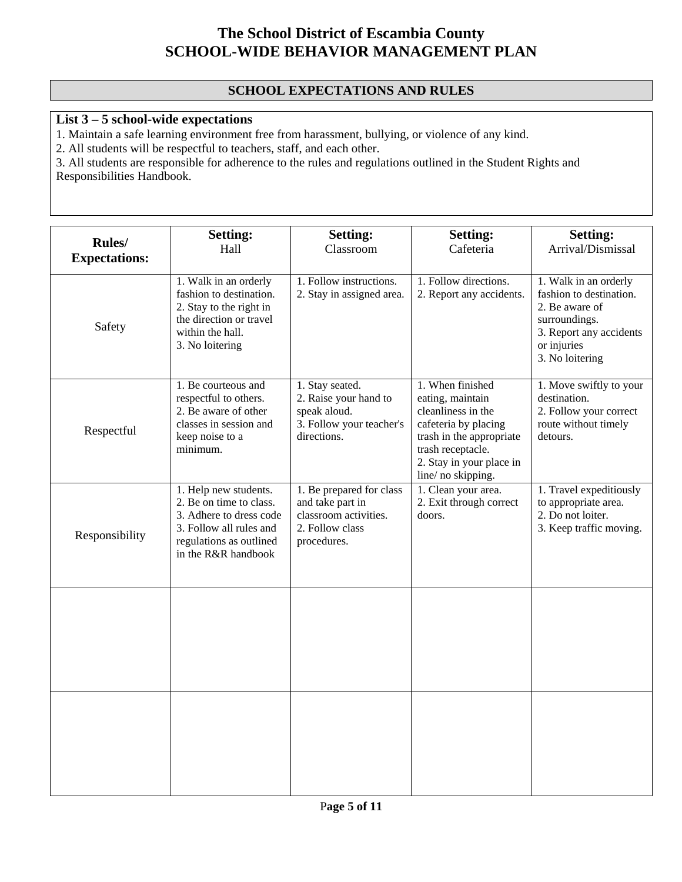### **SCHOOL EXPECTATIONS AND RULES**

### **List 3 – 5 school-wide expectations**

1. Maintain a safe learning environment free from harassment, bullying, or violence of any kind.

2. All students will be respectful to teachers, staff, and each other.

3. All students are responsible for adherence to the rules and regulations outlined in the Student Rights and Responsibilities Handbook.

| Rules/               | <b>Setting:</b>                                                                                                                                          | <b>Setting:</b>                                                                                         | <b>Setting:</b>                                                                                                                                                                      | <b>Setting:</b>                                                                                                                                  |
|----------------------|----------------------------------------------------------------------------------------------------------------------------------------------------------|---------------------------------------------------------------------------------------------------------|--------------------------------------------------------------------------------------------------------------------------------------------------------------------------------------|--------------------------------------------------------------------------------------------------------------------------------------------------|
| <b>Expectations:</b> | Hall                                                                                                                                                     | Classroom                                                                                               | Cafeteria                                                                                                                                                                            | Arrival/Dismissal                                                                                                                                |
| Safety               | 1. Walk in an orderly<br>fashion to destination.<br>2. Stay to the right in<br>the direction or travel<br>within the hall.<br>3. No loitering            | 1. Follow instructions.<br>2. Stay in assigned area.                                                    | 1. Follow directions.<br>2. Report any accidents.                                                                                                                                    | 1. Walk in an orderly<br>fashion to destination.<br>2. Be aware of<br>surroundings.<br>3. Report any accidents<br>or injuries<br>3. No loitering |
| Respectful           | 1. Be courteous and<br>respectful to others.<br>2. Be aware of other<br>classes in session and<br>keep noise to a<br>minimum.                            | 1. Stay seated.<br>2. Raise your hand to<br>speak aloud.<br>3. Follow your teacher's<br>directions.     | 1. When finished<br>eating, maintain<br>cleanliness in the<br>cafeteria by placing<br>trash in the appropriate<br>trash receptacle.<br>2. Stay in your place in<br>line/no skipping. | 1. Move swiftly to your<br>destination.<br>2. Follow your correct<br>route without timely<br>detours.                                            |
| Responsibility       | 1. Help new students.<br>2. Be on time to class.<br>3. Adhere to dress code<br>3. Follow all rules and<br>regulations as outlined<br>in the R&R handbook | 1. Be prepared for class<br>and take part in<br>classroom activities.<br>2. Follow class<br>procedures. | 1. Clean your area.<br>2. Exit through correct<br>doors.                                                                                                                             | 1. Travel expeditiously<br>to appropriate area.<br>2. Do not loiter.<br>3. Keep traffic moving.                                                  |
|                      |                                                                                                                                                          |                                                                                                         |                                                                                                                                                                                      |                                                                                                                                                  |
|                      |                                                                                                                                                          |                                                                                                         |                                                                                                                                                                                      |                                                                                                                                                  |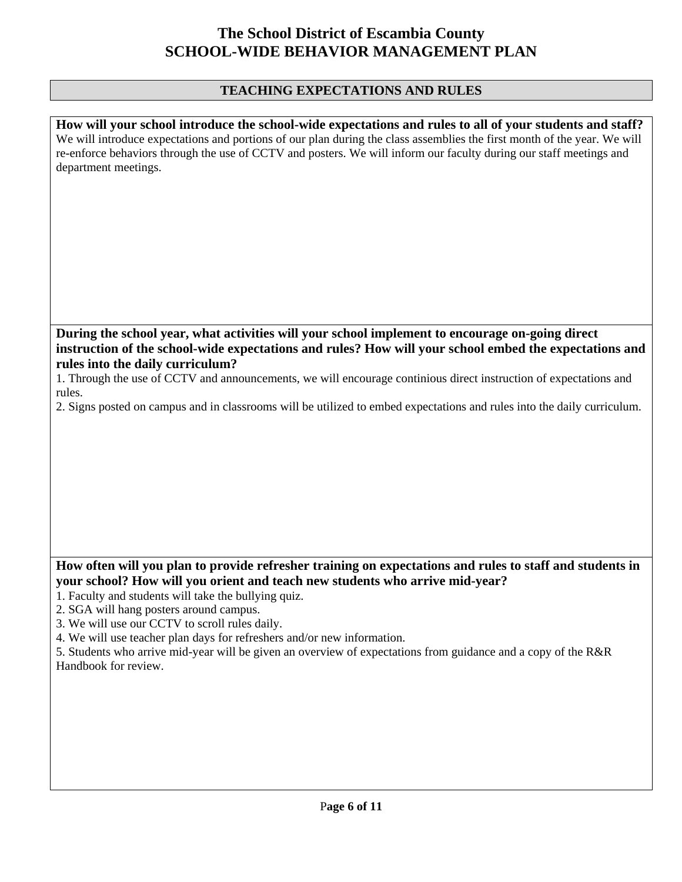## **TEACHING EXPECTATIONS AND RULES**

| How will your school introduce the school-wide expectations and rules to all of your students and staff?<br>We will introduce expectations and portions of our plan during the class assemblies the first month of the year. We will<br>re-enforce behaviors through the use of CCTV and posters. We will inform our faculty during our staff meetings and<br>department meetings. |
|------------------------------------------------------------------------------------------------------------------------------------------------------------------------------------------------------------------------------------------------------------------------------------------------------------------------------------------------------------------------------------|
| During the school year, what activities will your school implement to encourage on-going direct<br>instruction of the school-wide expectations and rules? How will your school embed the expectations and                                                                                                                                                                          |
| rules into the daily curriculum?<br>1. Through the use of CCTV and announcements, we will encourage continious direct instruction of expectations and                                                                                                                                                                                                                              |
| rules.<br>2. Signs posted on campus and in classrooms will be utilized to embed expectations and rules into the daily curriculum.                                                                                                                                                                                                                                                  |
|                                                                                                                                                                                                                                                                                                                                                                                    |
| How often will you plan to provide refresher training on expectations and rules to staff and students in<br>your school? How will you orient and teach new students who arrive mid-year?                                                                                                                                                                                           |
| 1. Faculty and students will take the bullying quiz.<br>2. SGA will hang posters around campus.                                                                                                                                                                                                                                                                                    |
| 3. We will use our CCTV to scroll rules daily.<br>4. We will use teacher plan days for refreshers and/or new information.                                                                                                                                                                                                                                                          |
| 5. Students who arrive mid-year will be given an overview of expectations from guidance and a copy of the R&R<br>Handbook for review.                                                                                                                                                                                                                                              |
|                                                                                                                                                                                                                                                                                                                                                                                    |
|                                                                                                                                                                                                                                                                                                                                                                                    |
|                                                                                                                                                                                                                                                                                                                                                                                    |
|                                                                                                                                                                                                                                                                                                                                                                                    |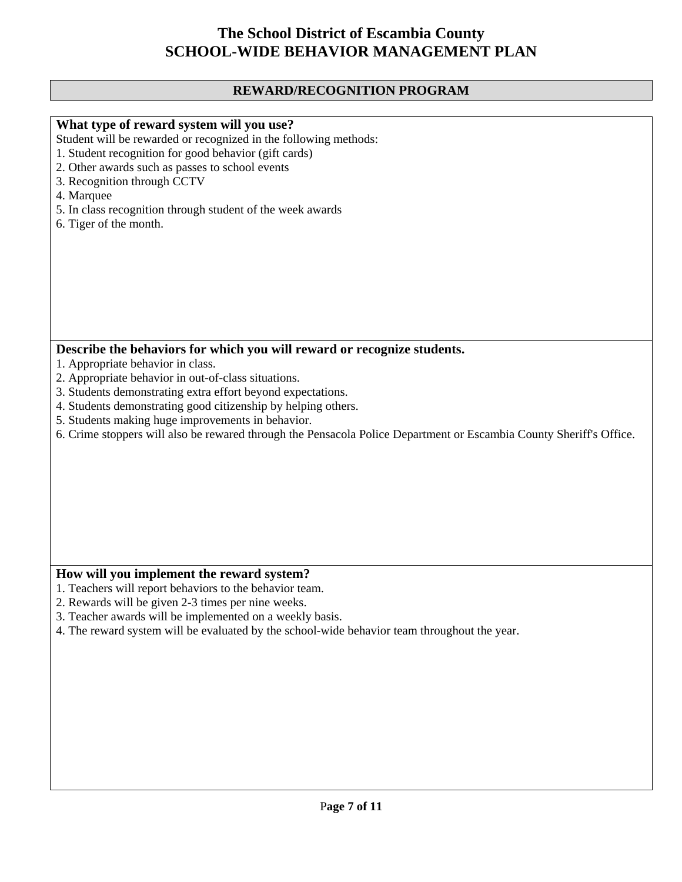## **REWARD/RECOGNITION PROGRAM**

| What type of reward system will you use?                                                                            |
|---------------------------------------------------------------------------------------------------------------------|
| Student will be rewarded or recognized in the following methods:                                                    |
| 1. Student recognition for good behavior (gift cards)                                                               |
| 2. Other awards such as passes to school events                                                                     |
| 3. Recognition through CCTV                                                                                         |
| 4. Marquee                                                                                                          |
|                                                                                                                     |
| 5. In class recognition through student of the week awards                                                          |
| 6. Tiger of the month.                                                                                              |
|                                                                                                                     |
|                                                                                                                     |
|                                                                                                                     |
|                                                                                                                     |
|                                                                                                                     |
|                                                                                                                     |
|                                                                                                                     |
|                                                                                                                     |
|                                                                                                                     |
| Describe the behaviors for which you will reward or recognize students.                                             |
| 1. Appropriate behavior in class.                                                                                   |
| 2. Appropriate behavior in out-of-class situations.                                                                 |
| 3. Students demonstrating extra effort beyond expectations.                                                         |
| 4. Students demonstrating good citizenship by helping others.                                                       |
|                                                                                                                     |
| 5. Students making huge improvements in behavior.                                                                   |
| 6. Crime stoppers will also be rewared through the Pensacola Police Department or Escambia County Sheriff's Office. |
|                                                                                                                     |
|                                                                                                                     |
|                                                                                                                     |
|                                                                                                                     |
|                                                                                                                     |
|                                                                                                                     |
|                                                                                                                     |
|                                                                                                                     |
|                                                                                                                     |
|                                                                                                                     |
| How will you implement the reward system?                                                                           |
| 1. Teachers will report behaviors to the behavior team.                                                             |
| 2. Rewards will be given 2-3 times per nine weeks.                                                                  |
| 3. Teacher awards will be implemented on a weekly basis.                                                            |
| 4. The reward system will be evaluated by the school-wide behavior team throughout the year.                        |
|                                                                                                                     |
|                                                                                                                     |
|                                                                                                                     |
|                                                                                                                     |
|                                                                                                                     |
|                                                                                                                     |
|                                                                                                                     |
|                                                                                                                     |
|                                                                                                                     |
|                                                                                                                     |
|                                                                                                                     |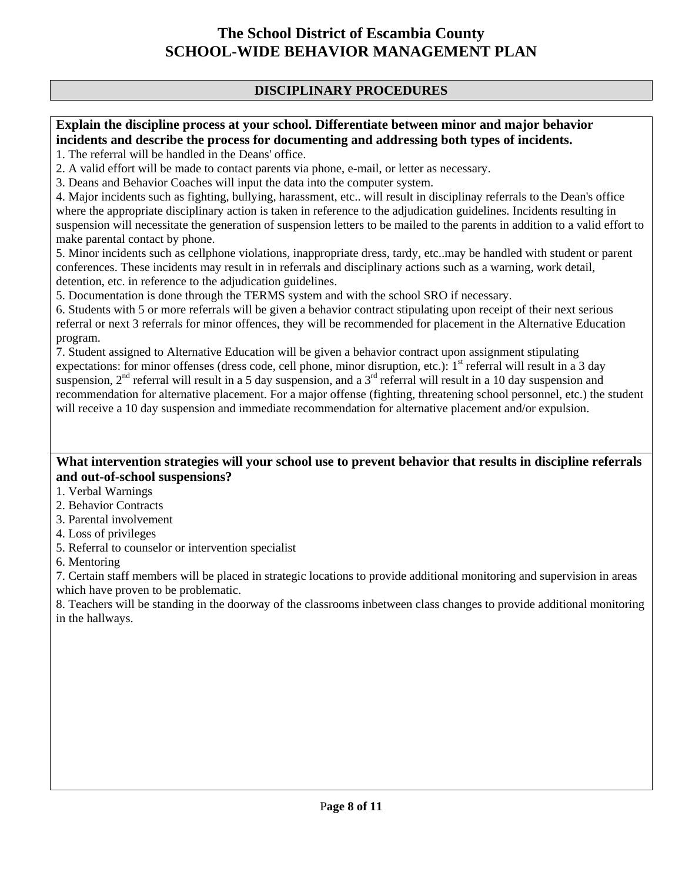#### **DISCIPLINARY PROCEDURES**

#### **Explain the discipline process at your school. Differentiate between minor and major behavior incidents and describe the process for documenting and addressing both types of incidents.**

1. The referral will be handled in the Deans' office.

2. A valid effort will be made to contact parents via phone, e-mail, or letter as necessary.

3. Deans and Behavior Coaches will input the data into the computer system.

4. Major incidents such as fighting, bullying, harassment, etc.. will result in disciplinay referrals to the Dean's office where the appropriate disciplinary action is taken in reference to the adjudication guidelines. Incidents resulting in suspension will necessitate the generation of suspension letters to be mailed to the parents in addition to a valid effort to make parental contact by phone.

5. Minor incidents such as cellphone violations, inappropriate dress, tardy, etc..may be handled with student or parent conferences. These incidents may result in in referrals and disciplinary actions such as a warning, work detail, detention, etc. in reference to the adjudication guidelines.

5. Documentation is done through the TERMS system and with the school SRO if necessary.

6. Students with 5 or more referrals will be given a behavior contract stipulating upon receipt of their next serious referral or next 3 referrals for minor offences, they will be recommended for placement in the Alternative Education program.

7. Student assigned to Alternative Education will be given a behavior contract upon assignment stipulating expectations: for minor offenses (dress code, cell phone, minor disruption, etc.):  $1<sup>st</sup>$  referral will result in a 3 day suspension,  $2<sup>nd</sup>$  referral will result in a 5 day suspension, and a  $3<sup>rd</sup>$  referral will result in a 10 day suspension and recommendation for alternative placement. For a major offense (fighting, threatening school personnel, etc.) the student will receive a 10 day suspension and immediate recommendation for alternative placement and/or expulsion.

#### **What intervention strategies will your school use to prevent behavior that results in discipline referrals and out-of-school suspensions?**

- 1. Verbal Warnings
- 2. Behavior Contracts
- 3. Parental involvement
- 4. Loss of privileges
- 5. Referral to counselor or intervention specialist
- 6. Mentoring

7. Certain staff members will be placed in strategic locations to provide additional monitoring and supervision in areas which have proven to be problematic.

8. Teachers will be standing in the doorway of the classrooms inbetween class changes to provide additional monitoring in the hallways.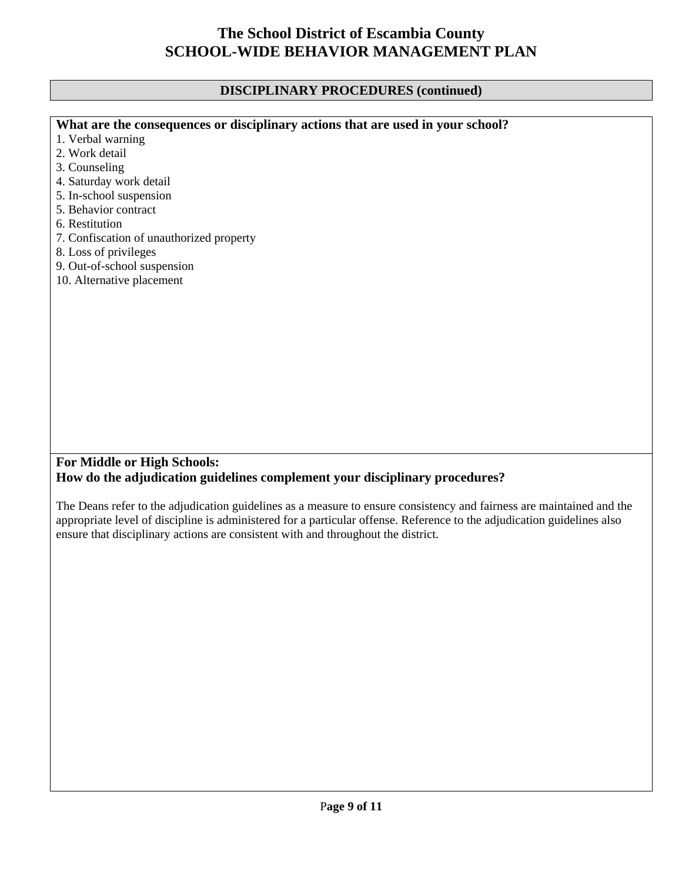## **DISCIPLINARY PROCEDURES (continued)**

| What are the consequences or disciplinary actions that are used in your school?                                         |  |
|-------------------------------------------------------------------------------------------------------------------------|--|
| 1. Verbal warning                                                                                                       |  |
| 2. Work detail                                                                                                          |  |
| 3. Counseling                                                                                                           |  |
| 4. Saturday work detail                                                                                                 |  |
| 5. In-school suspension                                                                                                 |  |
| 5. Behavior contract                                                                                                    |  |
| 6. Restitution                                                                                                          |  |
| 7. Confiscation of unauthorized property                                                                                |  |
| 8. Loss of privileges                                                                                                   |  |
| 9. Out-of-school suspension                                                                                             |  |
| 10. Alternative placement                                                                                               |  |
|                                                                                                                         |  |
|                                                                                                                         |  |
|                                                                                                                         |  |
|                                                                                                                         |  |
|                                                                                                                         |  |
|                                                                                                                         |  |
|                                                                                                                         |  |
|                                                                                                                         |  |
|                                                                                                                         |  |
|                                                                                                                         |  |
|                                                                                                                         |  |
|                                                                                                                         |  |
|                                                                                                                         |  |
| <b>For Middle or High Schools:</b>                                                                                      |  |
| How do the adjudication guidelines complement your disciplinary procedures?                                             |  |
|                                                                                                                         |  |
| The Deans refer to the adjudication guidelines as a measure to ensure consistency and fairness are maintained and the   |  |
| appropriate level of discipline is administered for a particular offense. Reference to the adjudication guidelines also |  |
| ensure that disciplinary actions are consistent with and throughout the district.                                       |  |
|                                                                                                                         |  |
|                                                                                                                         |  |
|                                                                                                                         |  |
|                                                                                                                         |  |
|                                                                                                                         |  |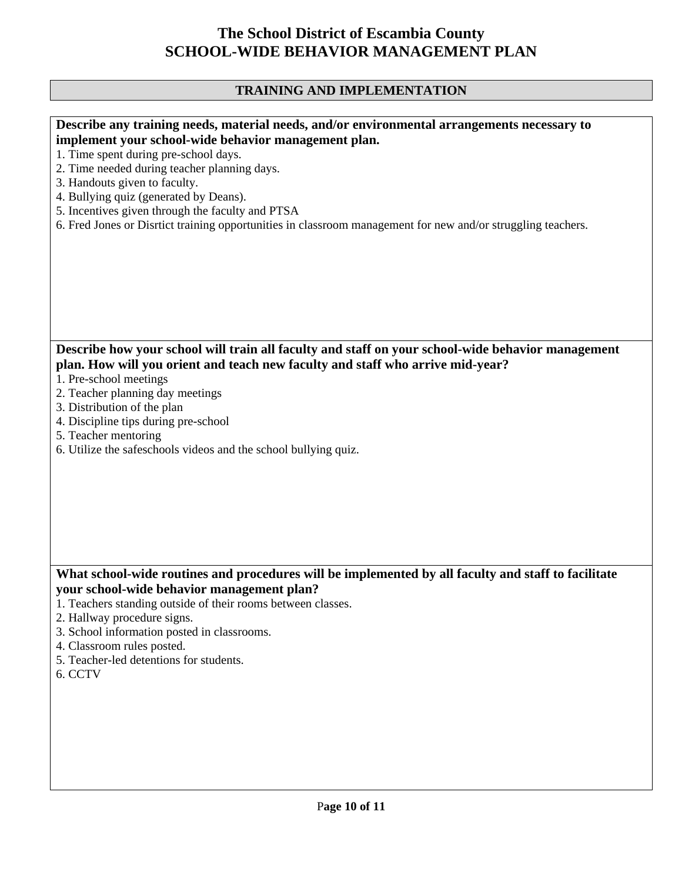## **TRAINING AND IMPLEMENTATION**

| Describe any training needs, material needs, and/or environmental arrangements necessary to<br>implement your school-wide behavior management plan.<br>1. Time spent during pre-school days.<br>2. Time needed during teacher planning days.<br>3. Handouts given to faculty.<br>4. Bullying quiz (generated by Deans).<br>5. Incentives given through the faculty and PTSA<br>6. Fred Jones or Disrtict training opportunities in classroom management for new and/or struggling teachers. |
|---------------------------------------------------------------------------------------------------------------------------------------------------------------------------------------------------------------------------------------------------------------------------------------------------------------------------------------------------------------------------------------------------------------------------------------------------------------------------------------------|
|                                                                                                                                                                                                                                                                                                                                                                                                                                                                                             |
| Describe how your school will train all faculty and staff on your school-wide behavior management<br>plan. How will you orient and teach new faculty and staff who arrive mid-year?<br>1. Pre-school meetings<br>2. Teacher planning day meetings<br>3. Distribution of the plan<br>4. Discipline tips during pre-school<br>5. Teacher mentoring<br>6. Utilize the safeschools videos and the school bullying quiz.                                                                         |
| What school-wide routines and procedures will be implemented by all faculty and staff to facilitate<br>your school-wide behavior management plan?<br>1. Teachers standing outside of their rooms between classes.<br>2. Hallway procedure signs.<br>3. School information posted in classrooms.                                                                                                                                                                                             |
| 4. Classroom rules posted.<br>5. Teacher-led detentions for students.<br>6. CCTV                                                                                                                                                                                                                                                                                                                                                                                                            |